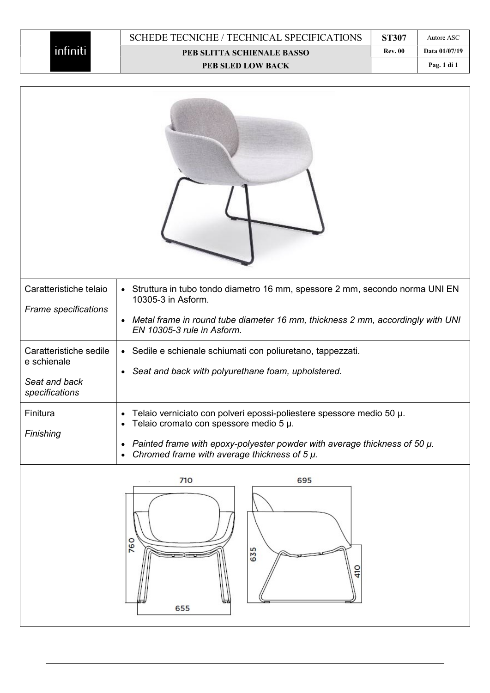| Caratteristiche telaio<br>Frame specifications                           | • Struttura in tubo tondo diametro 16 mm, spessore 2 mm, secondo norma UNI EN<br>10305-3 in Asform.<br>• Metal frame in round tube diameter 16 mm, thickness 2 mm, accordingly with UNI<br>EN 10305-3 rule in Asform.                                 |
|--------------------------------------------------------------------------|-------------------------------------------------------------------------------------------------------------------------------------------------------------------------------------------------------------------------------------------------------|
| Caratteristiche sedile<br>e schienale<br>Seat and back<br>specifications | • Sedile e schienale schiumati con poliuretano, tappezzati.<br>Seat and back with polyurethane foam, upholstered.<br>$\bullet$                                                                                                                        |
| Finitura<br>Finishing                                                    | Telaio verniciato con polveri epossi-poliestere spessore medio 50 µ.<br>Telaio cromato con spessore medio 5 µ.<br>Painted frame with epoxy-polyester powder with average thickness of 50 $\mu$ .<br>Chromed frame with average thickness of $5 \mu$ . |
|                                                                          | 710<br>695                                                                                                                                                                                                                                            |